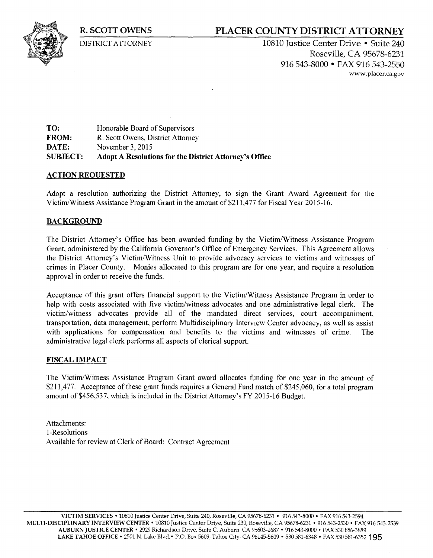**R. SCOTT OWENS** 

DISTRICT ATTORNEY

## **PLACER COUNTY DISTRICT ATTORNEY**

10810 Justice Center Drive • Suite 240 Roseville, CA 95678-6231 916 543-8000 • FAX 916 543-2550 www. placer.ca.gov

**TO: FROM: DATE:**  Honorable Board of Supervisors R. Scott Owens, District Attorney November 3, 2015 **SUBJECT: Adopt A Resolutions for the District Attorney's Office** 

### **ACTION REQUESTED**

Adopt a resolution authorizing the District Attorney, to sign the Grant Award Agreement for the Victim/Witness Assistance Program Grant in the amount of\$211,477 for Fiscal Year 2015-16.

### **BACKGROUND**

The District Attorney's Office has been awarded funding by the Victim/Witness Assistance Program Grant, administered by the California Governor's Office of Emergency Services. This Agreement allows the District Attorney's Victim/Witness Unit to provide advocacy services to victims and witnesses of crimes in Placer County. Monies allocated to this program are for one year, and require a resolution approval in order to receive the funds.

Acceptance of this grant offers financial support to the Victim/Witness Assistance Program in order to help with costs associated with five victim/witness advocates and one administrative legal clerk. The victim/witness advocates provide all of the mandated direct services, court accompaniment, transportation, data management, perform Multidisciplinary Interview Center advocacy, as well as assist with applications for compensation and benefits to the victims and witnesses of crime. The administrative legal clerk performs all aspects of clerical support.

#### **FISCAL IMPACT**

The Victim/Witness Assistance Program Grant award allocates funding for one year in the amount of \$211,477. Acceptance of these grant funds requires a General Fund match of \$245,060, for a total program amount of \$456,537, which is included in the District Attorney's FY 2015-16 Budget.

Attachments: 1-Resolutions Available for review at Clerk of Board: Contract Agreement